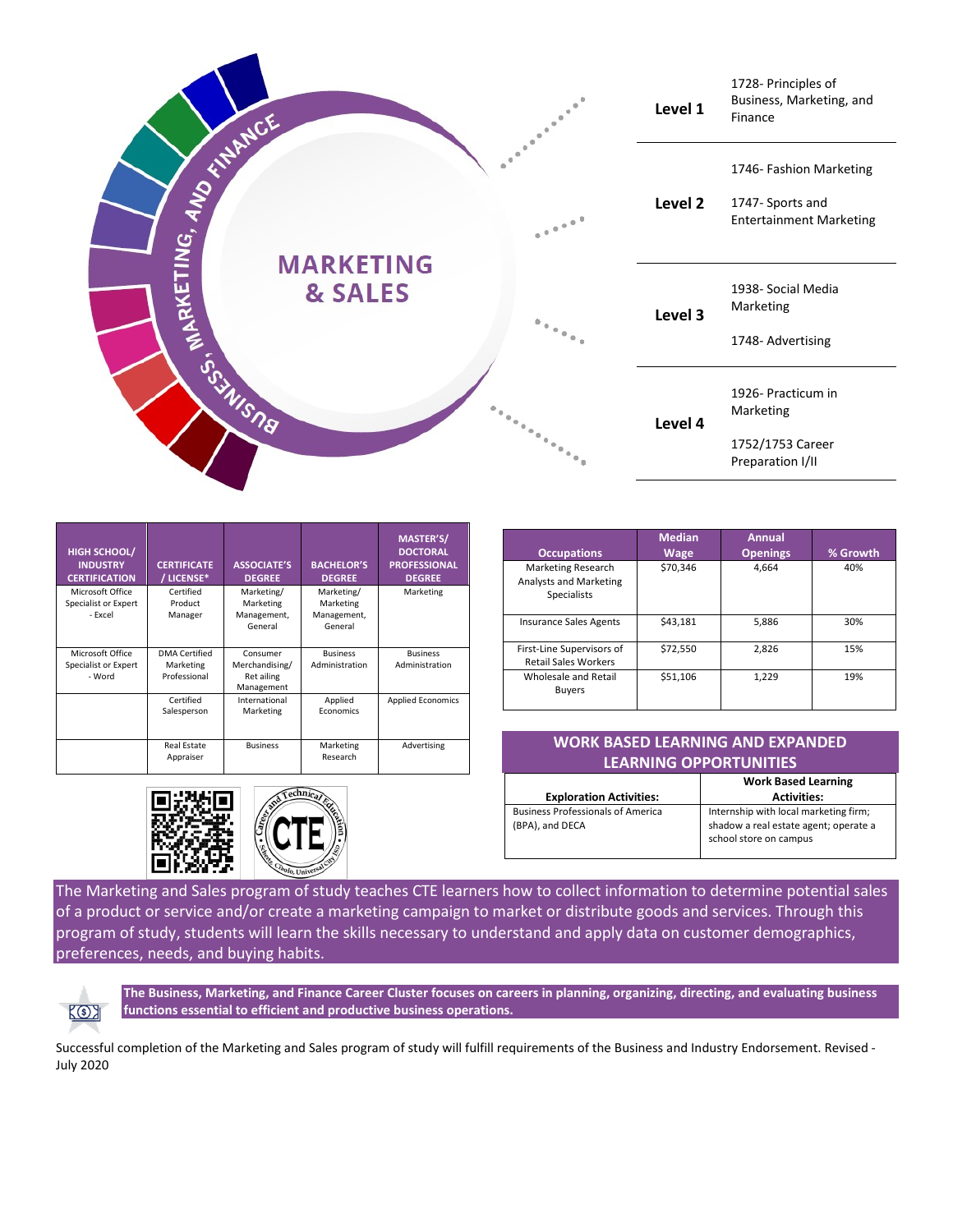

| <b>HIGH SCHOOL/</b><br><b>INDUSTRY</b><br><b>CERTIFICATION</b> | <b>CERTIFICATE</b><br>/ LICENSE*                  | <b>ASSOCIATE'S</b><br><b>DEGREE</b>                    | <b>BACHELOR'S</b><br><b>DEGREE</b>                | <b>MASTER'S/</b><br><b>DOCTORAL</b><br><b>PROFESSIONAL</b><br><b>DEGREE</b> |
|----------------------------------------------------------------|---------------------------------------------------|--------------------------------------------------------|---------------------------------------------------|-----------------------------------------------------------------------------|
| Microsoft Office<br>Specialist or Expert<br>- Excel            | Certified<br>Product<br>Manager                   | Marketing/<br>Marketing<br>Management,<br>General      | Marketing/<br>Marketing<br>Management,<br>General | Marketing                                                                   |
| Microsoft Office<br>Specialist or Expert<br>- Word             | <b>DMA</b> Certified<br>Marketing<br>Professional | Consumer<br>Merchandising/<br>Ret ailing<br>Management | <b>Business</b><br>Administration                 | <b>Business</b><br>Administration                                           |
|                                                                | Certified<br>Salesperson                          | International<br>Marketing                             | Applied<br>Economics                              | <b>Applied Economics</b>                                                    |
|                                                                | <b>Real Estate</b><br>Appraiser                   | <b>Business</b>                                        | Marketing<br>Research                             | Advertising                                                                 |





|                                                                           | <b>Median</b> | <b>Annual</b>   |          |
|---------------------------------------------------------------------------|---------------|-----------------|----------|
| <b>Occupations</b>                                                        | Wage          | <b>Openings</b> | % Growth |
| <b>Marketing Research</b><br>Analysts and Marketing<br><b>Specialists</b> | \$70,346      | 4.664           | 40%      |
| <b>Insurance Sales Agents</b>                                             | \$43,181      | 5,886           | 30%      |
| First-Line Supervisors of<br><b>Retail Sales Workers</b>                  | \$72,550      | 2,826           | 15%      |
| Wholesale and Retail<br><b>Buyers</b>                                     | \$51.106      | 1,229           | 19%      |

## **WORK BASED LEARNING AND EXPANDED LEARNING OPPORTUNITIES**

|                                                             | <b>Work Based Learning</b>                                                                               |
|-------------------------------------------------------------|----------------------------------------------------------------------------------------------------------|
| <b>Exploration Activities:</b>                              | <b>Activities:</b>                                                                                       |
| <b>Business Professionals of America</b><br>(BPA), and DECA | Internship with local marketing firm;<br>shadow a real estate agent; operate a<br>school store on campus |

The Marketing and Sales program of study teaches CTE learners how to collect information to determine potential sales of a product or service and/or create a marketing campaign to market or distribute goods and services. Through this program of study, students will learn the skills necessary to understand and apply data on customer demographics, preferences, needs, and buying habits.



**The Business, Marketing, and Finance Career Cluster focuses on careers in planning, organizing, directing, and evaluating business functions essential to efficient and productive business operations.**

Successful completion of the Marketing and Sales program of study will fulfill requirements of the Business and Industry Endorsement. Revised - July 2020